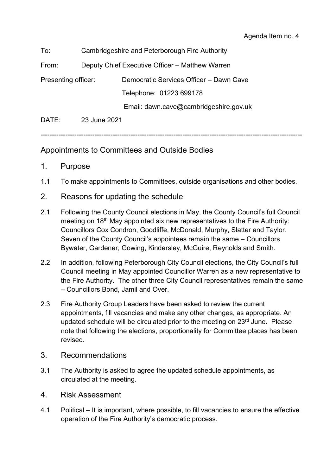| To:                 | Cambridgeshire and Peterborough Fire Authority  |                                         |
|---------------------|-------------------------------------------------|-----------------------------------------|
| From:               | Deputy Chief Executive Officer - Matthew Warren |                                         |
| Presenting officer: |                                                 | Democratic Services Officer - Dawn Cave |
|                     |                                                 | Telephone: 01223 699178                 |
|                     |                                                 | Email: dawn.cave@cambridgeshire.gov.uk  |
| DATE:               | 23 June 2021                                    |                                         |

--------------------------------------------------------------------------------------------------------------------

## Appointments to Committees and Outside Bodies

- 1. Purpose
- 1.1 To make appointments to Committees, outside organisations and other bodies.
- 2. Reasons for updating the schedule
- 2.1 Following the County Council elections in May, the County Council's full Council meeting on 18<sup>th</sup> May appointed six new representatives to the Fire Authority: Councillors Cox Condron, Goodliffe, McDonald, Murphy, Slatter and Taylor. Seven of the County Council's appointees remain the same – Councillors Bywater, Gardener, Gowing, Kindersley, McGuire, Reynolds and Smith.
- 2.2 In addition, following Peterborough City Council elections, the City Council's full Council meeting in May appointed Councillor Warren as a new representative to the Fire Authority. The other three City Council representatives remain the same – Councillors Bond, Jamil and Over.
- 2.3 Fire Authority Group Leaders have been asked to review the current appointments, fill vacancies and make any other changes, as appropriate. An updated schedule will be circulated prior to the meeting on 23<sup>rd</sup> June. Please note that following the elections, proportionality for Committee places has been revised.
- 3. Recommendations
- 3.1 The Authority is asked to agree the updated schedule appointments, as circulated at the meeting.
- 4. Risk Assessment
- 4.1 Political It is important, where possible, to fill vacancies to ensure the effective operation of the Fire Authority's democratic process.